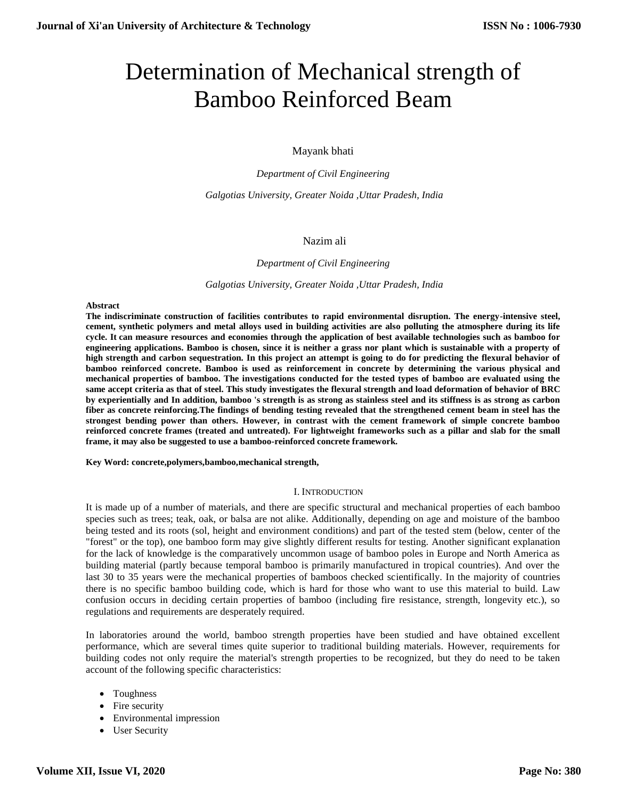# Determination of Mechanical strength of Bamboo Reinforced Beam

Mayank bhati

*Department of Civil Engineering*

*Galgotias University, Greater Noida ,Uttar Pradesh, India*

#### Nazim ali

#### *Department of Civil Engineering*

*Galgotias University, Greater Noida ,Uttar Pradesh, India*

#### **Abstract**

**The indiscriminate construction of facilities contributes to rapid environmental disruption. The energy-intensive steel, cement, synthetic polymers and metal alloys used in building activities are also polluting the atmosphere during its life cycle. It can measure resources and economies through the application of best available technologies such as bamboo for engineering applications. Bamboo is chosen, since it is neither a grass nor plant which is sustainable with a property of high strength and carbon sequestration. In this project an attempt is going to do for predicting the flexural behavior of bamboo reinforced concrete. Bamboo is used as reinforcement in concrete by determining the various physical and mechanical properties of bamboo. The investigations conducted for the tested types of bamboo are evaluated using the same accept criteria as that of steel. This study investigates the flexural strength and load deformation of behavior of BRC by experientially and In addition, bamboo 's strength is as strong as stainless steel and its stiffness is as strong as carbon fiber as concrete reinforcing.The findings of bending testing revealed that the strengthened cement beam in steel has the strongest bending power than others. However, in contrast with the cement framework of simple concrete bamboo reinforced concrete frames (treated and untreated). For lightweight frameworks such as a pillar and slab for the small frame, it may also be suggested to use a bamboo-reinforced concrete framework.** 

**Key Word: concrete,polymers,bamboo,mechanical strength,**

#### I. INTRODUCTION

It is made up of a number of materials, and there are specific structural and mechanical properties of each bamboo species such as trees; teak, oak, or balsa are not alike. Additionally, depending on age and moisture of the bamboo being tested and its roots (sol, height and environment conditions) and part of the tested stem (below, center of the "forest" or the top), one bamboo form may give slightly different results for testing. Another significant explanation for the lack of knowledge is the comparatively uncommon usage of bamboo poles in Europe and North America as building material (partly because temporal bamboo is primarily manufactured in tropical countries). And over the last 30 to 35 years were the mechanical properties of bamboos checked scientifically. In the majority of countries there is no specific bamboo building code, which is hard for those who want to use this material to build. Law confusion occurs in deciding certain properties of bamboo (including fire resistance, strength, longevity etc.), so regulations and requirements are desperately required.

In laboratories around the world, bamboo strength properties have been studied and have obtained excellent performance, which are several times quite superior to traditional building materials. However, requirements for building codes not only require the material's strength properties to be recognized, but they do need to be taken account of the following specific characteristics:

- Toughness
- Fire security
- Environmental impression
- User Security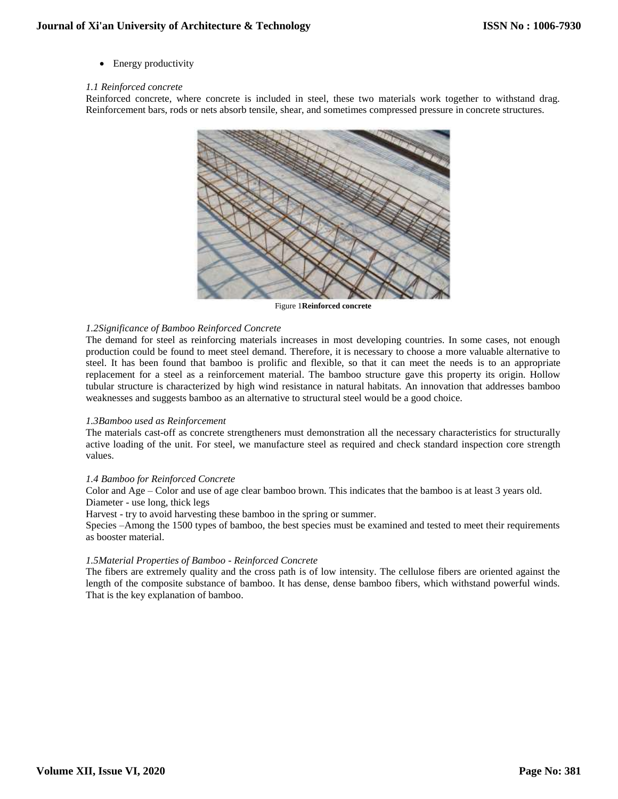• Energy productivity

## *1.1 Reinforced concrete*

Reinforced concrete, where concrete is included in steel, these two materials work together to withstand drag. Reinforcement bars, rods or nets absorb tensile, shear, and sometimes compressed pressure in concrete structures.



Figure 1**Reinforced concrete**

# *1.2Significance of Bamboo Reinforced Concrete*

The demand for steel as reinforcing materials increases in most developing countries. In some cases, not enough production could be found to meet steel demand. Therefore, it is necessary to choose a more valuable alternative to steel. It has been found that bamboo is prolific and flexible, so that it can meet the needs is to an appropriate replacement for a steel as a reinforcement material. The bamboo structure gave this property its origin. Hollow tubular structure is characterized by high wind resistance in natural habitats. An innovation that addresses bamboo weaknesses and suggests bamboo as an alternative to structural steel would be a good choice.

# *1.3Bamboo used as Reinforcement*

The materials cast-off as concrete strengtheners must demonstration all the necessary characteristics for structurally active loading of the unit. For steel, we manufacture steel as required and check standard inspection core strength values.

# *1.4 Bamboo for Reinforced Concrete*

Color and Age – Color and use of age clear bamboo brown. This indicates that the bamboo is at least 3 years old. Diameter - use long, thick legs

Harvest - try to avoid harvesting these bamboo in the spring or summer.

Species –Among the 1500 types of bamboo, the best species must be examined and tested to meet their requirements as booster material.

# *1.5Material Properties of Bamboo - Reinforced Concrete*

The fibers are extremely quality and the cross path is of low intensity. The cellulose fibers are oriented against the length of the composite substance of bamboo. It has dense, dense bamboo fibers, which withstand powerful winds. That is the key explanation of bamboo.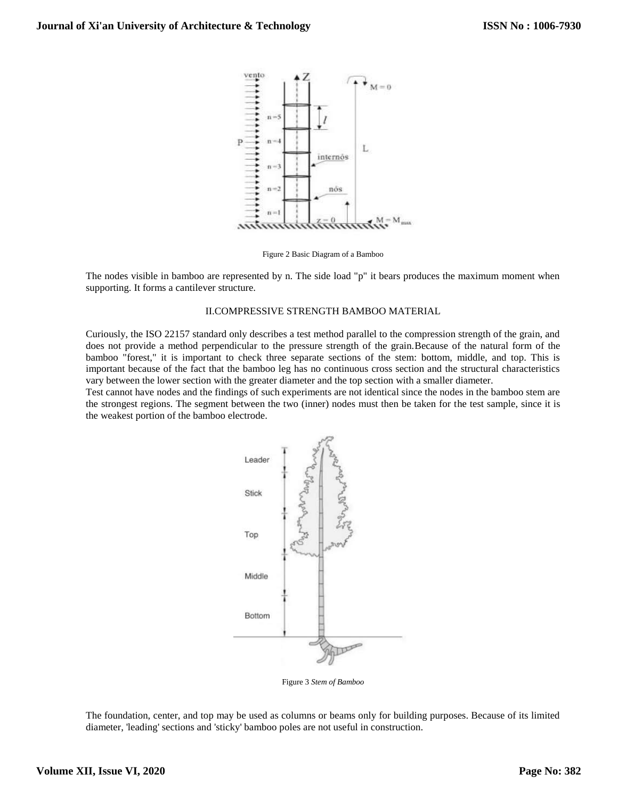

Figure 2 Basic Diagram of a Bamboo

The nodes visible in bamboo are represented by n. The side load "p" it bears produces the maximum moment when supporting. It forms a cantilever structure.

## II.COMPRESSIVE STRENGTH BAMBOO MATERIAL

Curiously, the ISO 22157 standard only describes a test method parallel to the compression strength of the grain, and does not provide a method perpendicular to the pressure strength of the grain.Because of the natural form of the bamboo "forest," it is important to check three separate sections of the stem: bottom, middle, and top. This is important because of the fact that the bamboo leg has no continuous cross section and the structural characteristics vary between the lower section with the greater diameter and the top section with a smaller diameter.

Test cannot have nodes and the findings of such experiments are not identical since the nodes in the bamboo stem are the strongest regions. The segment between the two (inner) nodes must then be taken for the test sample, since it is the weakest portion of the bamboo electrode.



Figure 3 *Stem of Bamboo*

The foundation, center, and top may be used as columns or beams only for building purposes. Because of its limited diameter, 'leading' sections and 'sticky' bamboo poles are not useful in construction.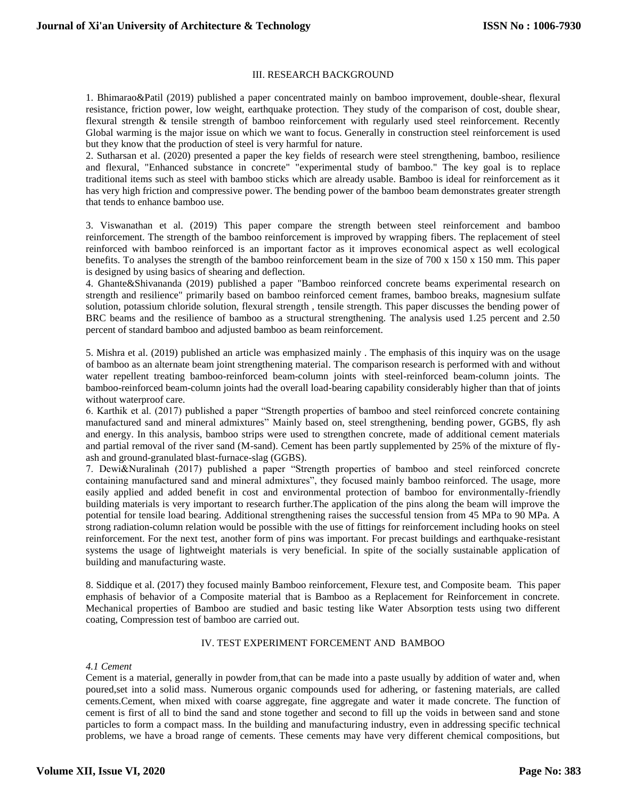## III. RESEARCH BACKGROUND

1. Bhimarao&Patil (2019) published a paper concentrated mainly on bamboo improvement, double-shear, flexural resistance, friction power, low weight, earthquake protection. They study of the comparison of cost, double shear, flexural strength & tensile strength of bamboo reinforcement with regularly used steel reinforcement. Recently Global warming is the major issue on which we want to focus. Generally in construction steel reinforcement is used but they know that the production of steel is very harmful for nature.

2. Sutharsan et al. (2020) presented a paper the key fields of research were steel strengthening, bamboo, resilience and flexural, "Enhanced substance in concrete" "experimental study of bamboo." The key goal is to replace traditional items such as steel with bamboo sticks which are already usable. Bamboo is ideal for reinforcement as it has very high friction and compressive power. The bending power of the bamboo beam demonstrates greater strength that tends to enhance bamboo use.

3. Viswanathan et al. (2019) This paper compare the strength between steel reinforcement and bamboo reinforcement. The strength of the bamboo reinforcement is improved by wrapping fibers. The replacement of steel reinforced with bamboo reinforced is an important factor as it improves economical aspect as well ecological benefits. To analyses the strength of the bamboo reinforcement beam in the size of  $700 \times 150 \times 150$  mm. This paper is designed by using basics of shearing and deflection.

4. Ghante&Shivananda (2019) published a paper "Bamboo reinforced concrete beams experimental research on strength and resilience" primarily based on bamboo reinforced cement frames, bamboo breaks, magnesium sulfate solution, potassium chloride solution, flexural strength , tensile strength. This paper discusses the bending power of BRC beams and the resilience of bamboo as a structural strengthening. The analysis used 1.25 percent and 2.50 percent of standard bamboo and adjusted bamboo as beam reinforcement.

5. Mishra et al. (2019) published an article was emphasized mainly . The emphasis of this inquiry was on the usage of bamboo as an alternate beam joint strengthening material. The comparison research is performed with and without water repellent treating bamboo-reinforced beam-column joints with steel-reinforced beam-column joints. The bamboo-reinforced beam-column joints had the overall load-bearing capability considerably higher than that of joints without waterproof care.

6. Karthik et al. (2017) published a paper "Strength properties of bamboo and steel reinforced concrete containing manufactured sand and mineral admixtures" Mainly based on, steel strengthening, bending power, GGBS, fly ash and energy. In this analysis, bamboo strips were used to strengthen concrete, made of additional cement materials and partial removal of the river sand (M-sand). Cement has been partly supplemented by 25% of the mixture of flyash and ground-granulated blast-furnace-slag (GGBS).

7. Dewi&Nuralinah (2017) published a paper "Strength properties of bamboo and steel reinforced concrete containing manufactured sand and mineral admixtures", they focused mainly bamboo reinforced. The usage, more easily applied and added benefit in cost and environmental protection of bamboo for environmentally-friendly building materials is very important to research further.The application of the pins along the beam will improve the potential for tensile load bearing. Additional strengthening raises the successful tension from 45 MPa to 90 MPa. A strong radiation-column relation would be possible with the use of fittings for reinforcement including hooks on steel reinforcement. For the next test, another form of pins was important. For precast buildings and earthquake-resistant systems the usage of lightweight materials is very beneficial. In spite of the socially sustainable application of building and manufacturing waste.

8. Siddique et al. (2017) they focused mainly Bamboo reinforcement, Flexure test, and Composite beam. This paper emphasis of behavior of a Composite material that is Bamboo as a Replacement for Reinforcement in concrete. Mechanical properties of Bamboo are studied and basic testing like Water Absorption tests using two different coating, Compression test of bamboo are carried out.

## IV. TEST EXPERIMENT FORCEMENT AND BAMBOO

# *4.1 Cement*

Cement is a material, generally in powder from,that can be made into a paste usually by addition of water and, when poured,set into a solid mass. Numerous organic compounds used for adhering, or fastening materials, are called cements.Cement, when mixed with coarse aggregate, fine aggregate and water it made concrete. The function of cement is first of all to bind the sand and stone together and second to fill up the voids in between sand and stone particles to form a compact mass. In the building and manufacturing industry, even in addressing specific technical problems, we have a broad range of cements. These cements may have very different chemical compositions, but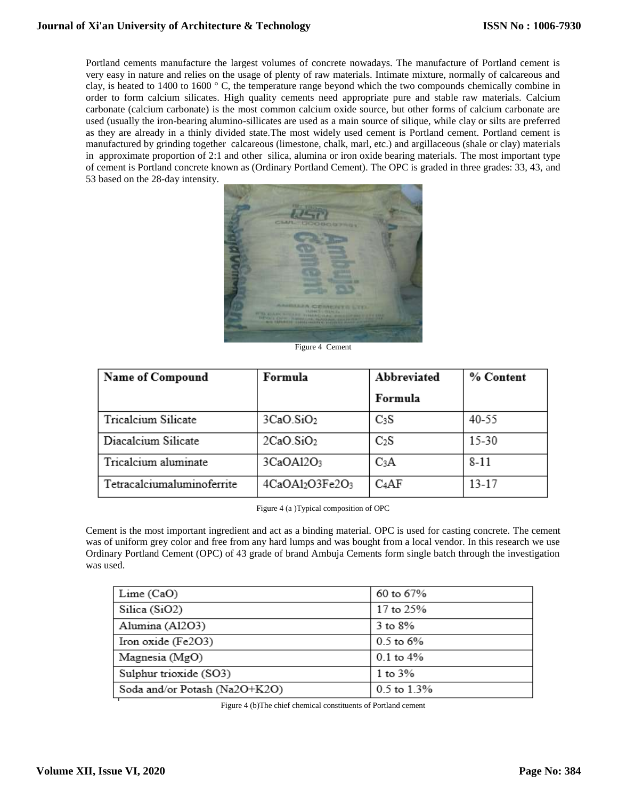Portland cements manufacture the largest volumes of concrete nowadays. The manufacture of Portland cement is very easy in nature and relies on the usage of plenty of raw materials. Intimate mixture, normally of calcareous and clay, is heated to 1400 to 1600 ° C, the temperature range beyond which the two compounds chemically combine in order to form calcium silicates. High quality cements need appropriate pure and stable raw materials. Calcium carbonate (calcium carbonate) is the most common calcium oxide source, but other forms of calcium carbonate are used (usually the iron-bearing alumino-sillicates are used as a main source of silique, while clay or silts are preferred as they are already in a thinly divided state.The most widely used cement is Portland cement. Portland cement is manufactured by grinding together calcareous (limestone, chalk, marl, etc.) and argillaceous (shale or clay) materials in approximate proportion of 2:1 and other silica, alumina or iron oxide bearing materials. The most important type of cement is Portland concrete known as (Ordinary Portland Cement). The OPC is graded in three grades: 33, 43, and 53 based on the 28-day intensity.



Figure 4 Cement

| <b>Name of Compound</b>    | Formula               | Abbreviated | % Content |
|----------------------------|-----------------------|-------------|-----------|
|                            |                       | Formula     |           |
| Tricalcium Silicate        | 3CaO.SiO <sub>2</sub> | $C_3S$      | 40-55     |
| Diacalcium Silicate        | 2CaO.SiO <sub>2</sub> | $C_2S$      | $15 - 30$ |
| Tricalcium aluminate       | 3CaOA12O <sub>3</sub> | $C_3A$      | $8 - 11$  |
| Tetracalciumaluminoferrite | 4CaOA12O3Fe2O3        | $C_4AF$     | $13 - 17$ |

Figure 4 (a )Typical composition of OPC

Cement is the most important ingredient and act as a binding material. OPC is used for casting concrete. The cement was of uniform grey color and free from any hard lumps and was bought from a local vendor. In this research we use Ordinary Portland Cement (OPC) of 43 grade of brand Ambuja Cements form single batch through the investigation was used.

| Lime(CaO)                     | 60 to 67%     |
|-------------------------------|---------------|
| Silica (SiO2)                 | 17 to 25%     |
| Alumina (Al2O3)               | $3$ to $8\%$  |
| Iron oxide (Fe2O3)            | $0.5$ to 6%   |
| Magnesia (MgO)                | $0.1$ to $4%$ |
| Sulphur trioxide (SO3)        | 1 to $3\%$    |
| Soda and/or Potash (Na2O+K2O) | 0.5 to 1.3%   |

Figure 4 (b)The chief chemical constituents of Portland cement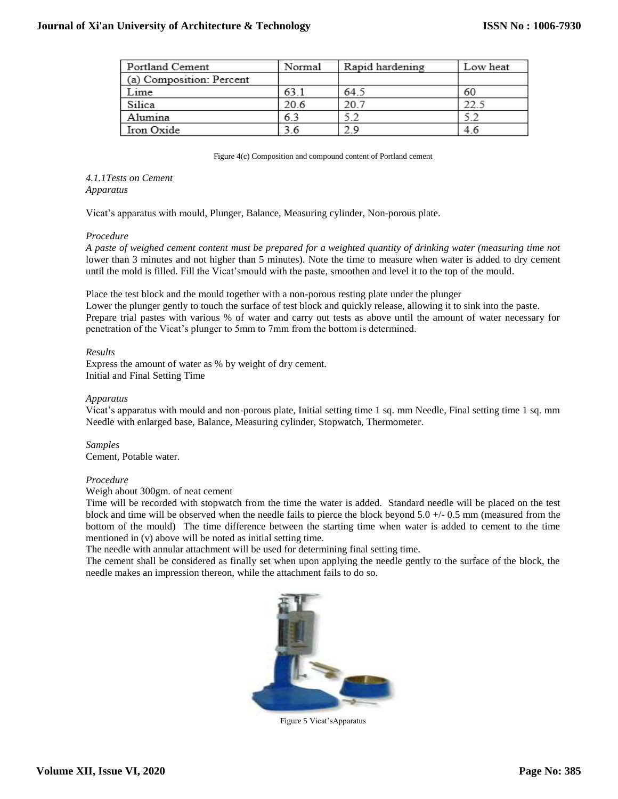| Portland Cement          | Normal | Rapid hardening | Low heat |
|--------------------------|--------|-----------------|----------|
| (a) Composition: Percent |        |                 |          |
| Lime                     | 63.1   | 64.5            | 60       |
| Silica                   | 20.6   | 20.7            |          |
| Alumina                  | 6.3    | 5.2             |          |
| Iron Oxide               | 6.     | 29              | 4.6      |

Figure 4(c) Composition and compound content of Portland cement

## *4.1.1Tests on Cement Apparatus*

Vicat's apparatus with mould, Plunger, Balance, Measuring cylinder, Non-porous plate.

# *Procedure*

*A paste of weighed cement content must be prepared for a weighted quantity of drinking water (measuring time not* lower than 3 minutes and not higher than 5 minutes). Note the time to measure when water is added to dry cement until the mold is filled. Fill the Vicat'smould with the paste, smoothen and level it to the top of the mould.

Place the test block and the mould together with a non-porous resting plate under the plunger

Lower the plunger gently to touch the surface of test block and quickly release, allowing it to sink into the paste. Prepare trial pastes with various % of water and carry out tests as above until the amount of water necessary for penetration of the Vicat's plunger to 5mm to 7mm from the bottom is determined.

# *Results*

Express the amount of water as % by weight of dry cement. Initial and Final Setting Time

# *Apparatus*

Vicat's apparatus with mould and non-porous plate, Initial setting time 1 sq. mm Needle, Final setting time 1 sq. mm Needle with enlarged base, Balance, Measuring cylinder, Stopwatch, Thermometer.

*Samples*  Cement, Potable water.

# *Procedure*

Weigh about 300gm. of neat cement

Time will be recorded with stopwatch from the time the water is added. Standard needle will be placed on the test block and time will be observed when the needle fails to pierce the block beyond 5.0 +/- 0.5 mm (measured from the bottom of the mould) The time difference between the starting time when water is added to cement to the time mentioned in (v) above will be noted as initial setting time.

The needle with annular attachment will be used for determining final setting time.

The cement shall be considered as finally set when upon applying the needle gently to the surface of the block, the needle makes an impression thereon, while the attachment fails to do so.



Figure 5 Vicat'sApparatus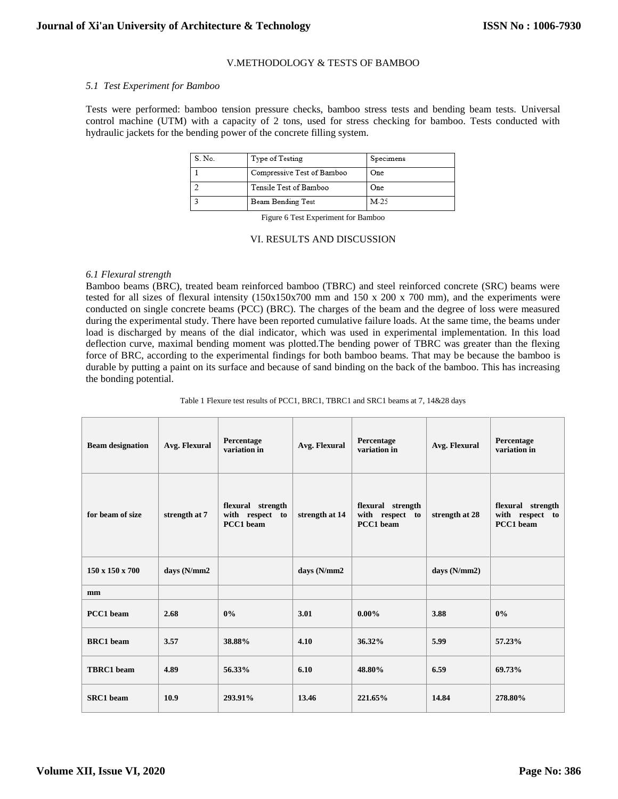## V.METHODOLOGY & TESTS OF BAMBOO

#### *5.1 Test Experiment for Bamboo*

Tests were performed: bamboo tension pressure checks, bamboo stress tests and bending beam tests. Universal control machine (UTM) with a capacity of 2 tons, used for stress checking for bamboo. Tests conducted with hydraulic jackets for the bending power of the concrete filling system.

| S. No. | Type of Testing            | Specimens |
|--------|----------------------------|-----------|
|        | Compressive Test of Bamboo | One       |
|        | Tensile Test of Bamboo     | One.      |
|        | Beam Bending Test          | $M-25$    |

Figure 6 Test Experiment for Bamboo

#### VI. RESULTS AND DISCUSSION

#### *6.1 Flexural strength*

Bamboo beams (BRC), treated beam reinforced bamboo (TBRC) and steel reinforced concrete (SRC) beams were tested for all sizes of flexural intensity (150x150x700 mm and 150 x 200 x 700 mm), and the experiments were conducted on single concrete beams (PCC) (BRC). The charges of the beam and the degree of loss were measured during the experimental study. There have been reported cumulative failure loads. At the same time, the beams under load is discharged by means of the dial indicator, which was used in experimental implementation. In this load deflection curve, maximal bending moment was plotted.The bending power of TBRC was greater than the flexing force of BRC, according to the experimental findings for both bamboo beams. That may be because the bamboo is durable by putting a paint on its surface and because of sand binding on the back of the bamboo. This has increasing the bonding potential.

Table 1 Flexure test results of PCC1, BRC1, TBRC1 and SRC1 beams at 7, 14&28 days

| <b>Beam designation</b>     | Avg. Flexural | Percentage<br>variation in                        | Avg. Flexural  | Percentage<br>variation in                        | Avg. Flexural  | Percentage<br>variation in                        |
|-----------------------------|---------------|---------------------------------------------------|----------------|---------------------------------------------------|----------------|---------------------------------------------------|
| for beam of size            | strength at 7 | flexural strength<br>with respect to<br>PCC1 beam | strength at 14 | flexural strength<br>with respect to<br>PCC1 beam | strength at 28 | flexural strength<br>with respect to<br>PCC1 beam |
| $150 \times 150 \times 700$ | days (N/mm2   |                                                   | days (N/mm2    |                                                   | days $(N/mm2)$ |                                                   |
| mm                          |               |                                                   |                |                                                   |                |                                                   |
| PCC1 beam                   | 2.68          | 0%                                                | 3.01           | $0.00\%$                                          | 3.88           | 0%                                                |
| <b>BRC1</b> beam            | 3.57          | 38.88%                                            | 4.10           | 36.32%                                            | 5.99           | 57.23%                                            |
| <b>TBRC1</b> beam           | 4.89          | 56.33%                                            | 6.10           | 48.80%                                            | 6.59           | 69.73%                                            |
| <b>SRC1</b> beam            | 10.9          | 293.91%                                           | 13.46          | 221.65%                                           | 14.84          | 278.80%                                           |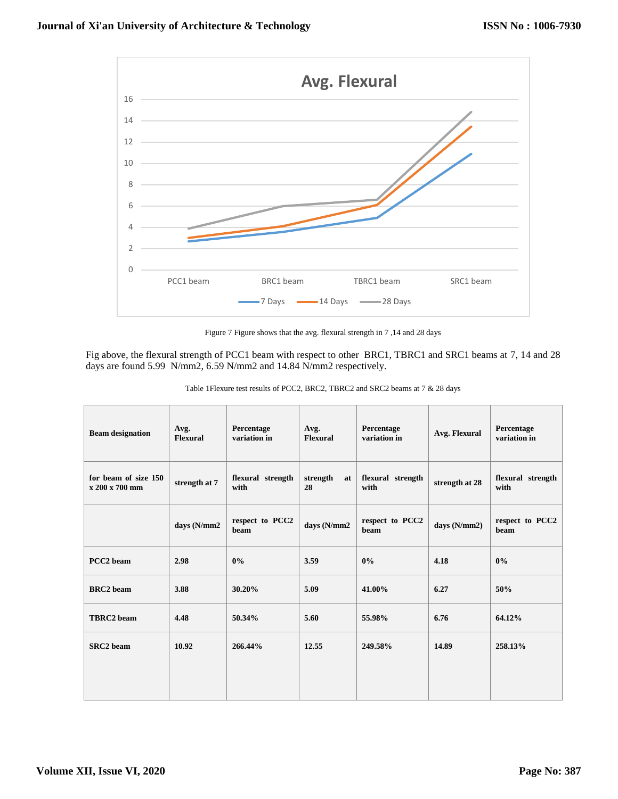

Figure 7 Figure shows that the avg. flexural strength in 7 ,14 and 28 days

Fig above, the flexural strength of PCC1 beam with respect to other BRC1, TBRC1 and SRC1 beams at 7, 14 and 28 days are found 5.99 N/mm2, 6.59 N/mm2 and 14.84 N/mm2 respectively.

| <b>Beam designation</b>                | Avg.<br>Flexural | Percentage<br>variation in | Avg.<br><b>Flexural</b> | Percentage<br>variation in | Avg. Flexural  | Percentage<br>variation in |
|----------------------------------------|------------------|----------------------------|-------------------------|----------------------------|----------------|----------------------------|
| for beam of size 150<br>x 200 x 700 mm | strength at 7    | flexural strength<br>with  | strength<br>at<br>28    | flexural strength<br>with  | strength at 28 | flexural strength<br>with  |
|                                        | days (N/mm2      | respect to PCC2<br>beam    | days (N/mm2             | respect to PCC2<br>beam    | days (N/mm2)   | respect to PCC2<br>beam    |
| PCC <sub>2</sub> beam                  | 2.98             | 0%                         | 3.59                    | 0%                         | 4.18           | 0%                         |
| <b>BRC2</b> beam                       | 3.88             | 30.20%                     | 5.09                    | 41.00%                     | 6.27           | 50%                        |
| <b>TBRC2</b> beam                      | 4.48             | 50.34%                     | 5.60                    | 55.98%                     | 6.76           | 64.12%                     |
| SRC <sub>2</sub> beam                  | 10.92            | 266.44%                    | 12.55                   | 249.58%                    | 14.89          | 258.13%                    |
|                                        |                  |                            |                         |                            |                |                            |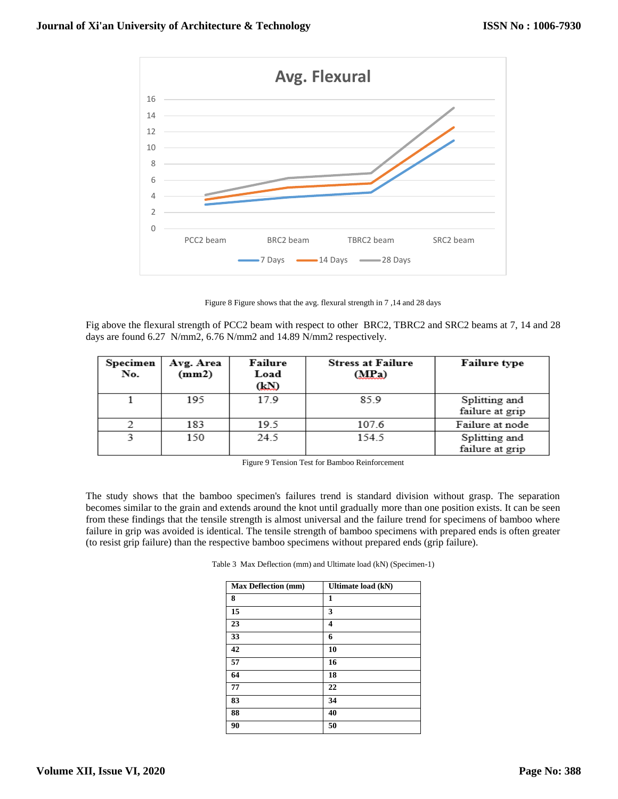

Figure 8 Figure shows that the avg. flexural strength in 7 ,14 and 28 days

Fig above the flexural strength of PCC2 beam with respect to other BRC2, TBRC2 and SRC2 beams at 7, 14 and 28 days are found 6.27 N/mm2, 6.76 N/mm2 and 14.89 N/mm2 respectively.

| Specimen<br>No. | Avg. Area<br>(mm2) | Failure<br>Load<br>(LD | <b>Stress at Failure</b><br>(MPa) | <b>Failure type</b>              |
|-----------------|--------------------|------------------------|-----------------------------------|----------------------------------|
|                 | 195                | 17.9                   | 85.9                              | Splitting and<br>failure at grip |
|                 | 183                | 19.5                   | 107.6                             | Failure at node                  |
|                 | 150                | 24.5                   | 154.5                             | Splitting and<br>failure at grip |

Figure 9 Tension Test for Bamboo Reinforcement

The study shows that the bamboo specimen's failures trend is standard division without grasp. The separation becomes similar to the grain and extends around the knot until gradually more than one position exists. It can be seen from these findings that the tensile strength is almost universal and the failure trend for specimens of bamboo where failure in grip was avoided is identical. The tensile strength of bamboo specimens with prepared ends is often greater (to resist grip failure) than the respective bamboo specimens without prepared ends (grip failure).

| <b>Max Deflection (mm)</b> | Ultimate load (kN) |
|----------------------------|--------------------|
| 8                          | 1                  |
| 15                         | 3                  |
| 23                         | 4                  |
| 33                         | 6                  |
| 42                         | 10                 |
| 57                         | 16                 |
| 64                         | 18                 |
| 77                         | 22                 |
| 83                         | 34                 |
| 88                         | 40                 |
| 90                         | 50                 |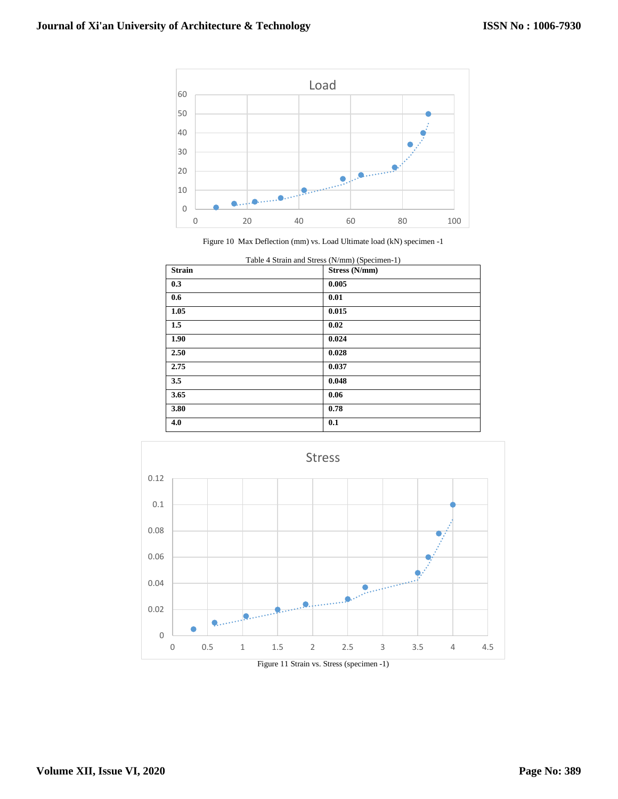

Figure 10 Max Deflection (mm) vs. Load Ultimate load (kN) specimen -1

| Table 4 Strain and Stress (N/mm) (Specimen-1) |               |  |  |
|-----------------------------------------------|---------------|--|--|
| <b>Strain</b>                                 | Stress (N/mm) |  |  |
| 0.3                                           | 0.005         |  |  |
| 0.6                                           | 0.01          |  |  |
| 1.05                                          | 0.015         |  |  |
| 1.5                                           | 0.02          |  |  |
| 1.90                                          | 0.024         |  |  |
| 2.50                                          | 0.028         |  |  |
| 2.75                                          | 0.037         |  |  |
| 3.5                                           | 0.048         |  |  |
| 3.65                                          | 0.06          |  |  |
| 3.80                                          | 0.78          |  |  |
| 4.0                                           | 0.1           |  |  |
|                                               |               |  |  |

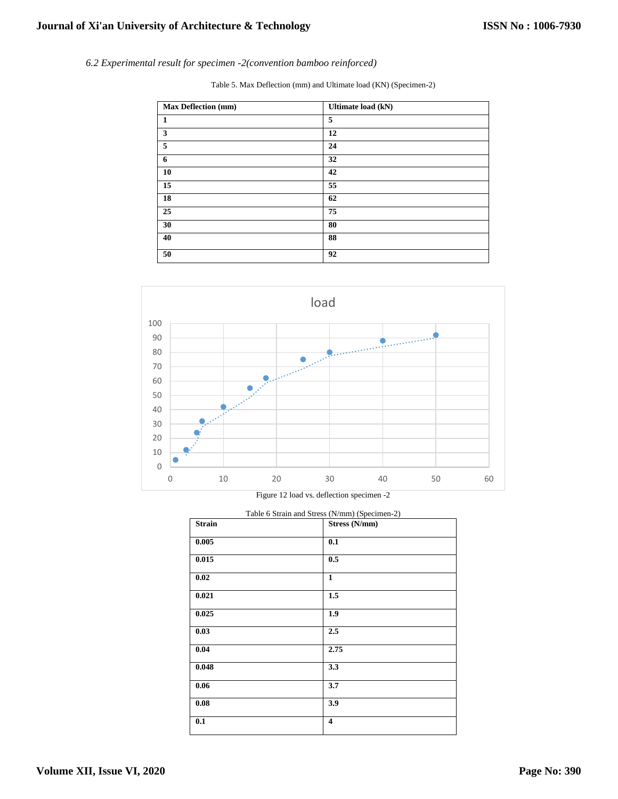*6.2 Experimental result for specimen -2(convention bamboo reinforced)*

Table 5. Max Deflection (mm) and Ultimate load (KN) (Specimen-2)

| <b>Max Deflection (mm)</b> | Ultimate load (kN) |
|----------------------------|--------------------|
| <b>1</b>                   | 5                  |
| $\mathbf{3}$               | 12                 |
| $\overline{5}$             | 24                 |
| 6                          | 32                 |
| 10                         | 42                 |
| 15                         | 55                 |
| 18                         | 62                 |
| 25                         | 75                 |
| 30                         | 80                 |
| 40                         | 88                 |
| 50                         | 92                 |



Figure 12 load vs. deflection specimen -2

| Table 6 Strain and Stress (N/mm) (Specimen-2) |                         |  |  |
|-----------------------------------------------|-------------------------|--|--|
| <b>Strain</b>                                 | Stress (N/mm)           |  |  |
| 0.005                                         | 0.1                     |  |  |
| 0.015                                         | 0.5                     |  |  |
| 0.02                                          | $\mathbf{1}$            |  |  |
| 0.021                                         | 1.5                     |  |  |
| 0.025                                         | 1.9                     |  |  |
| 0.03                                          | 2.5                     |  |  |
| 0.04                                          | 2.75                    |  |  |
| 0.048                                         | 3.3                     |  |  |
| $0.06\,$                                      | 3.7                     |  |  |
| 0.08                                          | 3.9                     |  |  |
| 0.1                                           | $\overline{\mathbf{4}}$ |  |  |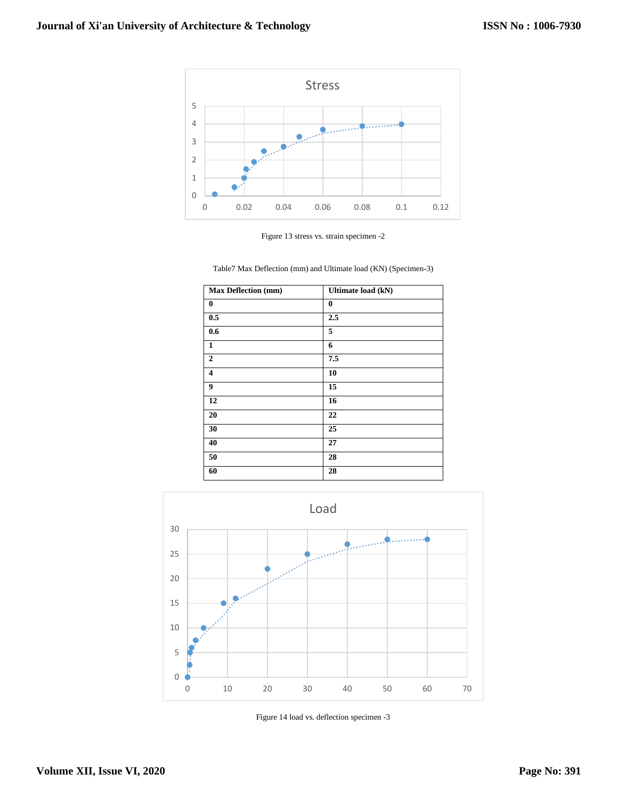

Figure 13 stress vs. strain specimen -2

Table7 Max Deflection (mm) and Ultimate load (KN) (Specimen-3)

| <b>Max Deflection (mm)</b> | <b>Ultimate load (kN)</b> |
|----------------------------|---------------------------|
| $\bf{0}$                   | $\bf{0}$                  |
| 0.5                        | 2.5                       |
| 0.6                        | 5                         |
| $\mathbf{1}$               | 6                         |
| $\overline{2}$             | 7.5                       |
| $\overline{\mathbf{4}}$    | 10                        |
| 9                          | 15                        |
| 12                         | 16                        |
| 20                         | 22                        |
| 30                         | 25                        |
| 40                         | 27                        |
| 50                         | 28                        |
| 60                         | 28                        |



Figure 14 load vs. deflection specimen -3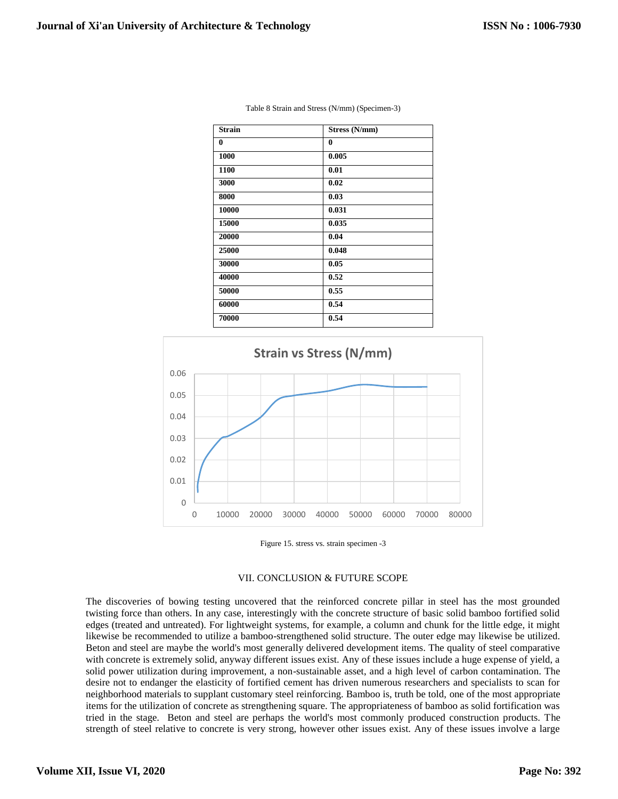| <b>Strain</b> | Stress (N/mm) |
|---------------|---------------|
| $\bf{0}$      | $\bf{0}$      |
| 1000          | 0.005         |
| 1100          | 0.01          |
| 3000          | 0.02          |
| 8000          | 0.03          |
| 10000         | 0.031         |
| 15000         | 0.035         |
| 20000         | 0.04          |
| 25000         | 0.048         |
| 30000         | 0.05          |
| 40000         | 0.52          |
| 50000         | 0.55          |
| 60000         | 0.54          |
| 70000         | 0.54          |

| Table 8 Strain and Stress (N/mm) (Specimen-3) |  |  |
|-----------------------------------------------|--|--|
|-----------------------------------------------|--|--|



Figure 15. stress vs. strain specimen -3

## VII. CONCLUSION & FUTURE SCOPE

The discoveries of bowing testing uncovered that the reinforced concrete pillar in steel has the most grounded twisting force than others. In any case, interestingly with the concrete structure of basic solid bamboo fortified solid edges (treated and untreated). For lightweight systems, for example, a column and chunk for the little edge, it might likewise be recommended to utilize a bamboo-strengthened solid structure. The outer edge may likewise be utilized. Beton and steel are maybe the world's most generally delivered development items. The quality of steel comparative with concrete is extremely solid, anyway different issues exist. Any of these issues include a huge expense of yield, a solid power utilization during improvement, a non-sustainable asset, and a high level of carbon contamination. The desire not to endanger the elasticity of fortified cement has driven numerous researchers and specialists to scan for neighborhood materials to supplant customary steel reinforcing. Bamboo is, truth be told, one of the most appropriate items for the utilization of concrete as strengthening square. The appropriateness of bamboo as solid fortification was tried in the stage. Beton and steel are perhaps the world's most commonly produced construction products. The strength of steel relative to concrete is very strong, however other issues exist. Any of these issues involve a large